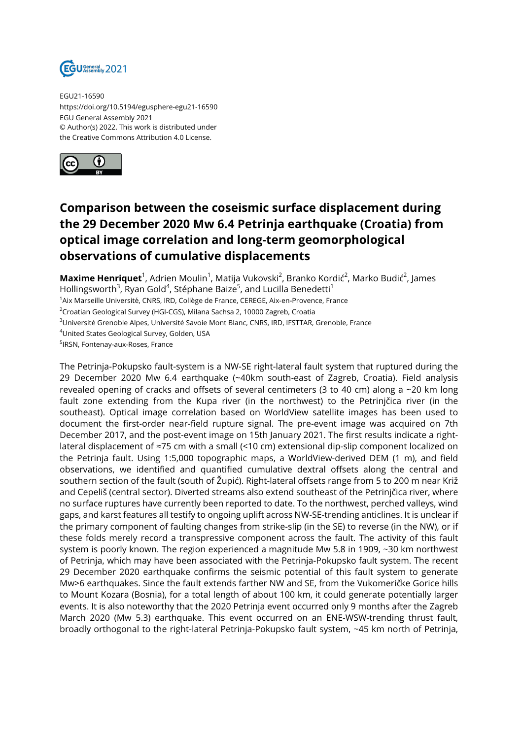

EGU21-16590 https://doi.org/10.5194/egusphere-egu21-16590 EGU General Assembly 2021 © Author(s) 2022. This work is distributed under the Creative Commons Attribution 4.0 License.



## **Comparison between the coseismic surface displacement during the 29 December 2020 Mw 6.4 Petrinja earthquake (Croatia) from optical image correlation and long-term geomorphological observations of cumulative displacements**

**Maxime Henriquet**<sup>1</sup>, Adrien Moulin<sup>1</sup>, Matija Vukovski<sup>2</sup>, Branko Kordić<sup>2</sup>, Marko Budić<sup>2</sup>, James Hollingsworth<sup>3</sup>, Ryan Gold<sup>4</sup>, Stéphane Baize<sup>5</sup>, and Lucilla Benedetti<sup>1</sup>

<sup>1</sup> Aix Marseille Université, CNRS, IRD, Collège de France, CEREGE, Aix-en-Provence, France

<sup>2</sup>Croatian Geological Survey (HGI-CGS), Milana Sachsa 2, 10000 Zagreb, Croatia

<sup>3</sup>Université Grenoble Alpes, Université Savoie Mont Blanc, CNRS, IRD, IFSTTAR, Grenoble, France

<sup>4</sup>United States Geological Survey, Golden, USA

5 IRSN, Fontenay-aux-Roses, France

The Petrinja-Pokupsko fault-system is a NW-SE right-lateral fault system that ruptured during the 29 December 2020 Mw 6.4 earthquake (~40km south-east of Zagreb, Croatia). Field analysis revealed opening of cracks and offsets of several centimeters (3 to 40 cm) along a ~20 km long fault zone extending from the Kupa river (in the northwest) to the Petrinjčica river (in the southeast). Optical image correlation based on WorldView satellite images has been used to document the first-order near-field rupture signal. The pre-event image was acquired on 7th December 2017, and the post-event image on 15th January 2021. The first results indicate a rightlateral displacement of ≈75 cm with a small (<10 cm) extensional dip-slip component localized on the Petrinja fault. Using 1:5,000 topographic maps, a WorldView-derived DEM (1 m), and field observations, we identified and quantified cumulative dextral offsets along the central and southern section of the fault (south of Župić). Right-lateral offsets range from 5 to 200 m near Križ and Cepeliš (central sector). Diverted streams also extend southeast of the Petrinjčica river, where no surface ruptures have currently been reported to date. To the northwest, perched valleys, wind gaps, and karst features all testify to ongoing uplift across NW-SE-trending anticlines. It is unclear if the primary component of faulting changes from strike-slip (in the SE) to reverse (in the NW), or if these folds merely record a transpressive component across the fault. The activity of this fault system is poorly known. The region experienced a magnitude Mw 5.8 in 1909, ~30 km northwest of Petrinja, which may have been associated with the Petrinja-Pokupsko fault system. The recent 29 December 2020 earthquake confirms the seismic potential of this fault system to generate Mw>6 earthquakes. Since the fault extends farther NW and SE, from the Vukomeričke Gorice hills to Mount Kozara (Bosnia), for a total length of about 100 km, it could generate potentially larger events. It is also noteworthy that the 2020 Petrinja event occurred only 9 months after the Zagreb March 2020 (Mw 5.3) earthquake. This event occurred on an ENE-WSW-trending thrust fault, broadly orthogonal to the right-lateral Petrinja-Pokupsko fault system, ~45 km north of Petrinja,